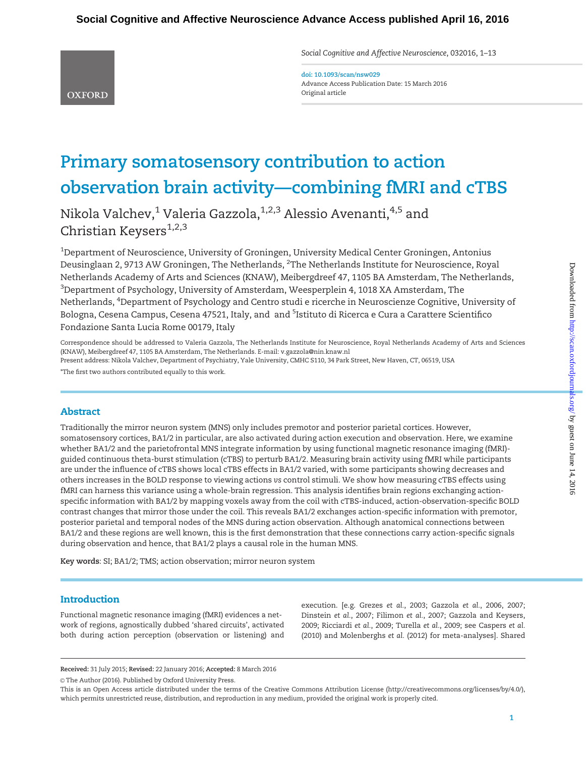Social Cognitive and Affective Neuroscience, 032016, 1–13

doi: 10.1093/scan/nsw029 Advance Access Publication Date: 15 March 2016 Original article

# Primary somatosensory contribution to action observation brain activity—combining fMRI and cTBS

Nikola Valchev,<sup>1</sup> Valeria Gazzola,<sup>1,2,3</sup> Alessio Avenanti,<sup>4,5</sup> and Christian Keysers $^{1,2,3}$ 

 $^{\rm 1}$ Department of Neuroscience, University of Groningen, University Medical Center Groningen, Antonius Deusinglaan 2, 9713 AW Groningen, The Netherlands, <sup>2</sup>The Netherlands Institute for Neuroscience, Royal Netherlands Academy of Arts and Sciences (KNAW), Meibergdreef 47, 1105 BA Amsterdam, The Netherlands,  $^3$ Department of Psychology, University of Amsterdam, Weesperplein 4, 1018 XA Amsterdam, The Netherlands, <sup>4</sup>Department of Psychology and Centro studi e ricerche in Neuroscienze Cognitive, University of Bologna, Cesena Campus, Cesena 47521, Italy, and and <sup>5</sup>Istituto di Ricerca e Cura a Carattere Scientifico Fondazione Santa Lucia Rome 00179, Italy

Correspondence should be addressed to Valeria Gazzola, The Netherlands Institute for Neuroscience, Royal Netherlands Academy of Arts and Sciences (KNAW), Meibergdreef 47, 1105 BA Amsterdam, The Netherlands. E-mail: v.gazzola@nin.knaw.nl

Present address: Nikola Valchev, Department of Psychiatry, Yale University, CMHC S110, 34 Park Street, New Haven, CT, 06519, USA \*The first two authors contributed equally to this work.

# Abstract

**OXFORD** 

Traditionally the mirror neuron system (MNS) only includes premotor and posterior parietal cortices. However, somatosensory cortices, BA1/2 in particular, are also activated during action execution and observation. Here, we examine whether BA1/2 and the parietofrontal MNS integrate information by using functional magnetic resonance imaging (fMRI)guided continuous theta-burst stimulation (cTBS) to perturb BA1/2. Measuring brain activity using fMRI while participants are under the influence of cTBS shows local cTBS effects in BA1/2 varied, with some participants showing decreases and others increases in the BOLD response to viewing actions vs control stimuli. We show how measuring cTBS effects using fMRI can harness this variance using a whole-brain regression. This analysis identifies brain regions exchanging actionspecific information with BA1/2 by mapping voxels away from the coil with cTBS-induced, action-observation-specific BOLD contrast changes that mirror those under the coil. This reveals BA1/2 exchanges action-specific information with premotor, posterior parietal and temporal nodes of the MNS during action observation. Although anatomical connections between BA1/2 and these regions are well known, this is the first demonstration that these connections carry action-specific signals during observation and hence, that BA1/2 plays a causal role in the human MNS.

Key words: SI; BA1/2; TMS; action observation; mirror neuron system

# Introduction

Functional magnetic resonance imaging (fMRI) evidences a network of regions, agnostically dubbed 'shared circuits', activated both during action perception (observation or listening) and

execution. [e.g. [Grezes](#page-11-0) et al., 2003; [Gazzola](#page-10-0) et al., 2006, [2007](#page-10-0); [Dinstein](#page-10-0) et al., 2007; [Filimon](#page-10-0) et al., 2007; [Gazzola and Keysers,](#page-10-0) [2009;](#page-10-0) [Ricciardi](#page-11-0) et al., 2009; [Turella](#page-12-0) et al., 2009; see [Caspers](#page-10-0) et al. [\(2010](#page-10-0)) and [Molenberghs](#page-11-0) et al. (2012) for meta-analyses]. Shared

Received: 31 July 2015; Revised: 22 January 2016; Accepted: 8 March 2016

© The Author (2016). Published by Oxford University Press.

This is an Open Access article distributed under the terms of the Creative Commons Attribution License (http://creativecommons.org/licenses/by/4.0/), which permits unrestricted reuse, distribution, and reproduction in any medium, provided the original work is properly cited.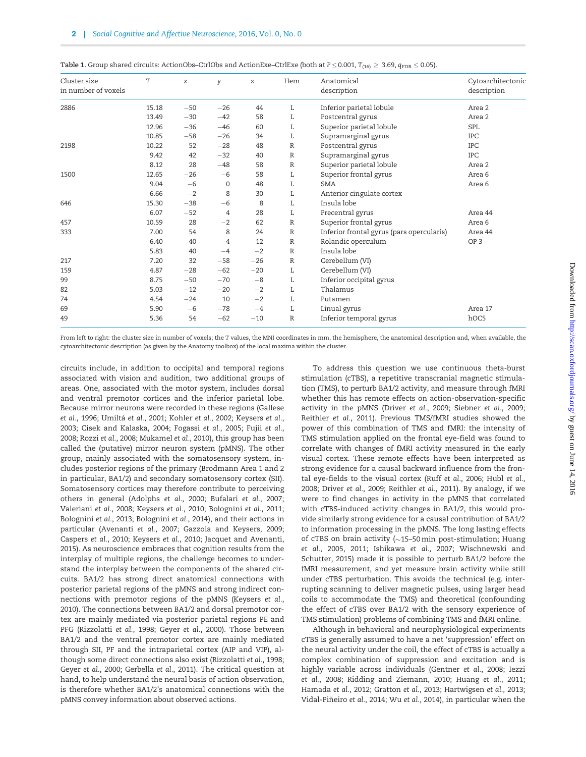| Cluster size        | T     | χ     | y     | z     | Hem          | Anatomical                                | Cytoarchitectonic |
|---------------------|-------|-------|-------|-------|--------------|-------------------------------------------|-------------------|
| in number of voxels |       |       |       |       |              | description                               | description       |
| 2886                | 15.18 | $-50$ | $-26$ | 44    | L            | Inferior parietal lobule                  | Area 2            |
|                     | 13.49 | $-30$ | $-42$ | 58    | L            | Postcentral gyrus                         | Area 2            |
|                     | 12.96 | $-36$ | $-46$ | 60    | L            | Superior parietal lobule                  | <b>SPL</b>        |
|                     | 10.85 | $-58$ | $-26$ | 34    | L            | Supramarginal gyrus                       | <b>IPC</b>        |
| 2198                | 10.22 | 52    | $-28$ | 48    | $\mathbb{R}$ | Postcentral gyrus                         | IPC               |
|                     | 9.42  | 42    | $-32$ | 40    | $\mathbb{R}$ | Supramarginal gyrus                       | <b>IPC</b>        |
|                     | 8.12  | 28    | $-48$ | 58    | R            | Superior parietal lobule                  | Area 2            |
| 1500                | 12.65 | $-26$ | $-6$  | 58    | L            | Superior frontal gyrus                    | Area 6            |
|                     | 9.04  | $-6$  | 0     | 48    | L            | <b>SMA</b>                                | Area 6            |
|                     | 6.66  | $-2$  | 8     | 30    | L            | Anterior cingulate cortex                 |                   |
| 646                 | 15.30 | $-38$ | $-6$  | 8     | L            | Insula lobe                               |                   |
|                     | 6.07  | $-52$ | 4     | 28    | L            | Precentral gyrus                          | Area 44           |
| 457                 | 10.59 | 28    | $-2$  | 62    | R            | Superior frontal gyrus                    | Area 6            |
| 333                 | 7.00  | 54    | 8     | 24    | $\mathbb R$  | Inferior frontal gyrus (pars opercularis) | Area 44           |
|                     | 6.40  | 40    | $-4$  | 12    | $\mathbb{R}$ | Rolandic operculum                        | OP <sub>3</sub>   |
|                     | 5.83  | 40    | $-4$  | $-2$  | $\mathbb{R}$ | Insula lobe                               |                   |
| 217                 | 7.20  | 32    | $-58$ | $-26$ | $\mathbb{R}$ | Cerebellum (VI)                           |                   |
| 159                 | 4.87  | $-28$ | $-62$ | $-20$ | L            | Cerebellum (VI)                           |                   |
| 99                  | 8.75  | $-50$ | $-70$ | $-8$  | L            | Inferior occipital gyrus                  |                   |
| 82                  | 5.03  | $-12$ | $-20$ | $-2$  | L            | Thalamus                                  |                   |
| 74                  | 4.54  | $-24$ | 10    | $-2$  | L            | Putamen                                   |                   |
| 69                  | 5.90  | $-6$  | $-78$ | $-4$  | L            | Linual gyrus                              | Area 17           |
| 49                  | 5.36  | 54    | $-62$ | $-10$ | $\mathbb{R}$ | Inferior temporal gyrus                   | hOC5              |

<span id="page-1-0"></span>Table 1. Group shared circuits: ActionObs–CtrlObs and ActionExe–CtrlExe (both at  $P \le 0.001$ ,  $T_{(16)} \ge 3.69$ ,  $q_{FDR} \le 0.05$ ).

From left to right: the cluster size in number of voxels; the T values, the MNI coordinates in mm, the hemisphere, the anatomical description and, when available, the cytoarchitectonic description (as given by the Anatomy toolbox) of the local maxima within the cluster.

circuits include, in addition to occipital and temporal regions associated with vision and audition, two additional groups of areas. One, associated with the motor system, includes dorsal and ventral premotor cortices and the inferior parietal lobe. Because mirror neurons were recorded in these regions ([Gallese](#page-10-0) et al.[, 1996](#page-10-0); Umiltá et al.[, 2001](#page-12-0); [Kohler](#page-11-0) et al., 2002; [Keysers](#page-11-0) et al., [2003;](#page-11-0) [Cisek and Kalaska, 2004; Fogassi](#page-10-0) et al., 2005; Fujii [et al.](#page-10-0), [2008;](#page-10-0) Rozzi et al.[, 2008;](#page-12-0) [Mukamel](#page-11-0) et al., 2010), this group has been called the (putative) mirror neuron system (pMNS). The other group, mainly associated with the somatosensory system, includes posterior regions of the primary (Brodmann Area 1 and 2 in particular, BA1/2) and secondary somatosensory cortex (SII). Somatosensory cortices may therefore contribute to perceiving others in general ([Adolphs](#page-9-0) et al., 2000; [Bufalari](#page-10-0) et al., 2007; [Valeriani](#page-12-0) et al., 2008; [Keysers](#page-11-0) et al., 2010; [Bolognini](#page-10-0) et al., 2011; [Bolognini](#page-10-0) et al., 2013; [Bolognini](#page-10-0) et al., 2014), and their actions in particular ([Avenanti](#page-10-0) et al., 2007; [Gazzola and Keysers, 2009](#page-10-0); [Caspers](#page-10-0) et al., 2010; [Keysers](#page-11-0) et al., 2010; [Jacquet and Avenanti,](#page-11-0) [2015\)](#page-11-0). As neuroscience embraces that cognition results from the interplay of multiple regions, the challenge becomes to understand the interplay between the components of the shared circuits. BA1/2 has strong direct anatomical connections with posterior parietal regions of the pMNS and strong indirect connections with premotor regions of the pMNS [\(Keysers](#page-11-0) et al., [2010\)](#page-11-0). The connections between BA1/2 and dorsal premotor cortex are mainly mediated via posterior parietal regions PE and PFG [\(Rizzolatti](#page-11-0) et al., 1998; Geyer et al.[, 2000\)](#page-10-0). Those between BA1/2 and the ventral premotor cortex are mainly mediated through SII, PF and the intraparietal cortex (AIP and VIP), although some direct connections also exist ([Rizzolatti](#page-11-0) et al., 1998; Geyer et al.[, 2000; Gerbella](#page-10-0) et al., 2011). The critical question at hand, to help understand the neural basis of action observation, is therefore whether BA1/2's anatomical connections with the pMNS convey information about observed actions.

To address this question we use continuous theta-burst stimulation (cTBS), a repetitive transcranial magnetic stimulation (TMS), to perturb BA1/2 activity, and measure through fMRI whether this has remote effects on action-observation-specific activity in the pMNS (Driver et al.[, 2009](#page-10-0); [Siebner](#page-12-0) et al., 2009; [Reithler](#page-11-0) et al., 2011). Previous TMS/fMRI studies showed the power of this combination of TMS and fMRI: the intensity of TMS stimulation applied on the frontal eye-field was found to correlate with changes of fMRI activity measured in the early visual cortex. These remote effects have been interpreted as strong evidence for a causal backward influence from the frontal eye-fields to the visual cortex (Ruff et al.[, 2006;](#page-12-0) Hubl [et al.](#page-11-0), [2008;](#page-11-0) [Driver](#page-10-0) et al., 2009; [Reithler](#page-11-0) et al., 2011). By analogy, if we were to find changes in activity in the pMNS that correlated with cTBS-induced activity changes in BA1/2, this would provide similarly strong evidence for a causal contribution of BA1/2 to information processing in the pMNS. The long lasting effects of cTBS on brain activity  $(\sim 15-50 \,\mathrm{min}$  post-stimulation; [Huang](#page-11-0) et al.[, 2005, 2011](#page-11-0); [Ishikawa](#page-11-0) et al., 2007; [Wischnewski and](#page-12-0) [Schutter, 2015\)](#page-12-0) made it is possible to perturb BA1/2 before the fMRI measurement, and yet measure brain activity while still under cTBS perturbation. This avoids the technical (e.g. interrupting scanning to deliver magnetic pulses, using larger head coils to accommodate the TMS) and theoretical (confounding the effect of cTBS over BA1/2 with the sensory experience of TMS stimulation) problems of combining TMS and fMRI online.

Although in behavioral and neurophysiological experiments cTBS is generally assumed to have a net 'suppression' effect on the neural activity under the coil, the effect of cTBS is actually a complex combination of suppression and excitation and is highly variable across individuals ([Gentner](#page-10-0) et al., 2008; [Iezzi](#page-11-0) et al.[, 2008; Ridding and Ziemann, 2010](#page-11-0); [Huang](#page-11-0) et al., 2011; [Hamada](#page-11-0) et al., 2012; [Gratton](#page-10-0) et al., 2013; [Hartwigsen](#page-11-0) et al., 2013; Vidal-Piñeiro et al.[, 2014;](#page-12-0) Wu et al.[, 2014\)](#page-12-0), in particular when the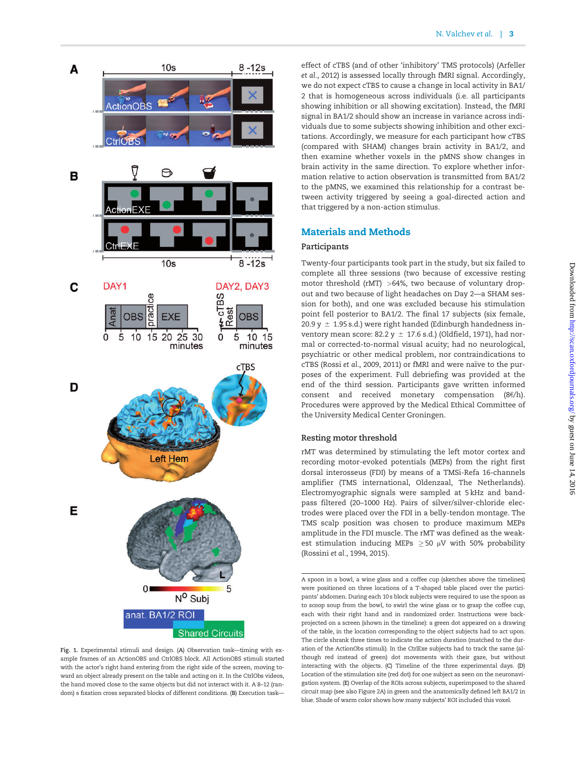<span id="page-2-0"></span>

Fig. 1. Experimental stimuli and design. (A) Observation task—timing with example frames of an ActionOBS and CtrlOBS block. All ActionOBS stimuli started with the actor's right hand entering from the right side of the screen, moving toward an object already present on the table and acting on it. In the CtrlObs videos, the hand moved close to the same objects but did not interact with it. A 8–12 (random) s fixation cross separated blocks of different conditions. (B) Execution task—

effect of cTBS (and of other 'inhibitory' TMS protocols) ([Arfeller](#page-9-0) et al.[, 2012\)](#page-9-0) is assessed locally through fMRI signal. Accordingly, we do not expect cTBS to cause a change in local activity in BA1/ 2 that is homogeneous across individuals (i.e. all participants showing inhibition or all showing excitation). Instead, the fMRI signal in BA1/2 should show an increase in variance across individuals due to some subjects showing inhibition and other excitations. Accordingly, we measure for each participant how cTBS (compared with SHAM) changes brain activity in BA1/2, and then examine whether voxels in the pMNS show changes in brain activity in the same direction. To explore whether information relative to action observation is transmitted from BA1/2 to the pMNS, we examined this relationship for a contrast between activity triggered by seeing a goal-directed action and that triggered by a non-action stimulus.

# Materials and Methods

## Participants

Twenty-four participants took part in the study, but six failed to complete all three sessions (two because of excessive resting motor threshold (rMT) >64%, two because of voluntary dropout and two because of light headaches on Day 2—a SHAM session for both), and one was excluded because his stimulation point fell posterior to BA1/2. The final 17 subjects (six female, 20.9 y  $\pm$  1.95 s.d.) were right handed (Edinburgh handedness inventory mean score: 82.2 y  $\pm$  17.6 s.d.) [\(Oldfield, 1971\)](#page-11-0), had normal or corrected-to-normal visual acuity; had no neurological, psychiatric or other medical problem, nor contraindications to cTBS (Rossi et al.[, 2009](#page-11-0), [2011](#page-11-0)) or fMRI and were naïve to the purposes of the experiment. Full debriefing was provided at the end of the third session. Participants gave written informed consent and received monetary compensation  $(8 \epsilon/h)$ . Procedures were approved by the Medical Ethical Committee of the University Medical Center Groningen.

## Resting motor threshold

rMT was determined by stimulating the left motor cortex and recording motor-evoked potentials (MEPs) from the right first dorsal interosseus (FDI) by means of a TMSi-Refa 16-channels amplifier (TMS international, Oldenzaal, The Netherlands). Electromyographic signals were sampled at 5 kHz and bandpass filtered (20–1000 Hz). Pairs of silver/silver-chloride electrodes were placed over the FDI in a belly-tendon montage. The TMS scalp position was chosen to produce maximum MEPs amplitude in the FDI muscle. The rMT was defined as the weakest stimulation inducing MEPs  $\geq$  50  $\mu$ V with 50% probability [\(Rossini](#page-11-0) et al., 1994, [2015\)](#page-12-0).

A spoon in a bowl, a wine glass and a coffee cup (sketches above the timelines) were positioned on three locations of a T-shaped table placed over the participants' abdomen. During each 10 s block subjects were required to use the spoon as to scoop soup from the bowl, to swirl the wine glass or to grasp the coffee cup, each with their right hand and in randomized order. Instructions were backprojected on a screen (shown in the timeline): a green dot appeared on a drawing of the table, in the location corresponding to the object subjects had to act upon. The circle shrank three times to indicate the action duration (matched to the duration of the ActionObs stimuli). In the CtrlExe subjects had to track the same (although red instead of green) dot movements with their gaze, but without interacting with the objects. (C) Timeline of the three experimental days. (D) Location of the stimulation site (red dot) for one subject as seen on the neuronavigation system. (E) Overlap of the ROIs across subjects, superimposed to the shared circuit map (see also Figure 2A) in green and the anatomically defined left BA1/2 in blue. Shade of warm color shows how many subjects' ROI included this voxel.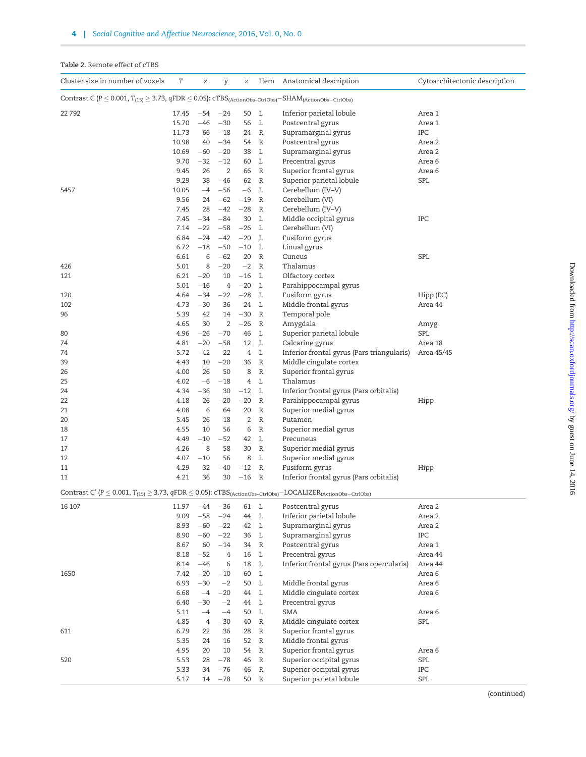<span id="page-3-0"></span>

|  |  |  | <b>Table 2.</b> Remote effect of cTBS |  |  |  |
|--|--|--|---------------------------------------|--|--|--|
|--|--|--|---------------------------------------|--|--|--|

| Cluster size in number of voxels                                                                                                             | T             | χ              | y              | Ζ              |                              | Hem Anatomical description                                    | Cytoarchitectonic description |
|----------------------------------------------------------------------------------------------------------------------------------------------|---------------|----------------|----------------|----------------|------------------------------|---------------------------------------------------------------|-------------------------------|
| Contrast C ( $P \le 0.001$ , $T_{(15)} \ge 3.73$ , $qFDR \le 0.05$ ): $cTBS_{(ActionObs-Cr1Obs)} - SHAM_{(ActionObs-Cr1Obs)}$                |               |                |                |                |                              |                                                               |                               |
| 22792                                                                                                                                        | 17.45         | $-54$          | $-24$          | 50 L           |                              | Inferior parietal lobule                                      | Area 1                        |
|                                                                                                                                              | 15.70         | $-46$          | $-30$          | 56 L           |                              | Postcentral gyrus                                             | Area 1                        |
|                                                                                                                                              | 11.73         | 66             | $-18$          | 24             | R                            | Supramarginal gyrus                                           | IPC                           |
|                                                                                                                                              | 10.98         | 40             | $-34$          | 54 R           |                              | Postcentral gyrus                                             | Area 2                        |
|                                                                                                                                              | 10.69         | $-60$          | $-20$          | 38 L           |                              | Supramarginal gyrus                                           | Area 2                        |
|                                                                                                                                              | 9.70          | $-32$          | $-12$          | 60 L           |                              | Precentral gyrus                                              | Area 6                        |
|                                                                                                                                              | 9.45          | 26             | $\overline{2}$ | 66             | $\mathbb{R}$                 | Superior frontal gyrus                                        | Area 6                        |
|                                                                                                                                              | 9.29          | 38             | $-46$          | 62             | $\mathbb{R}$                 | Superior parietal lobule                                      | SPL                           |
| 5457                                                                                                                                         | 10.05<br>9.56 | $-4$           | $-56$<br>$-62$ | $-6$           | $\mathbb{L}$<br>$\mathbb{R}$ | Cerebellum (IV-V)                                             |                               |
|                                                                                                                                              | 7.45          | 24<br>28       | $-42$          | $-19$<br>$-28$ | R                            | Cerebellum (VI)<br>Cerebellum (IV-V)                          |                               |
|                                                                                                                                              | 7.45          | $-34$          | $-84$          | 30             | L                            | Middle occipital gyrus                                        | IPC                           |
|                                                                                                                                              | 7.14          | $-22$          | $-58$          | $-26$          | L                            | Cerebellum (VI)                                               |                               |
|                                                                                                                                              | 6.84          | $-24$          | $-42$          | $-20$ L        |                              | Fusiform gyrus                                                |                               |
|                                                                                                                                              | 6.72          | $-18$          | $-50$          | $-10$ L        |                              | Linual gyrus                                                  |                               |
|                                                                                                                                              | 6.61          | 6              | $-62$          | 20             | R                            | Cuneus                                                        | <b>SPL</b>                    |
| 426                                                                                                                                          | 5.01          | 8              | $-20$          | $-2$ R         |                              | Thalamus                                                      |                               |
| 121                                                                                                                                          | 6.21          | $-20$          | 10             | $-16$          | L                            | Olfactory cortex                                              |                               |
|                                                                                                                                              | 5.01          | $-16$          | $\overline{4}$ | $-20$          | L                            | Parahippocampal gyrus                                         |                               |
| 120                                                                                                                                          | 4.64          | $-34$          | $-22$          | $-28$          | $\mathbb{L}$                 | Fusiform gyrus                                                | Hipp (EC)                     |
| 102                                                                                                                                          | 4.73          | $-30$          | 36             | 24             | L                            | Middle frontal gyrus                                          | Area 44                       |
| 96                                                                                                                                           | 5.39          | 42             | 14             | $-30$          | $\mathbb{R}$                 | Temporal pole                                                 |                               |
|                                                                                                                                              | 4.65          | 30             | $\overline{2}$ | $-26$          | R                            | Amygdala                                                      | Amyg                          |
| 80                                                                                                                                           | 4.96<br>4.81  | $-26$<br>$-20$ | $-70$<br>$-58$ | 46<br>12 L     | $\mathbb{L}$                 | Superior parietal lobule                                      | SPL                           |
| 74<br>74                                                                                                                                     | 5.72          | $-42$          | 22             |                | 4 L                          | Calcarine gyrus<br>Inferior frontal gyrus (Pars triangularis) | Area 18<br>Area 45/45         |
| 39                                                                                                                                           | 4.43          | 10             | $-20$          | 36 R           |                              | Middle cingulate cortex                                       |                               |
| 26                                                                                                                                           | 4.00          | 26             | 50             | 8              | $\mathbb R$                  | Superior frontal gyrus                                        |                               |
| 25                                                                                                                                           | 4.02          | $-6$           | $-18$          |                | 4 L                          | Thalamus                                                      |                               |
| 24                                                                                                                                           | 4.34          | $-36$          | 30             | $-12$ L        |                              | Inferior frontal gyrus (Pars orbitalis)                       |                               |
| 22                                                                                                                                           | 4.18          | 26             | $-20$          | $-20$          | $\mathbb R$                  | Parahippocampal gyrus                                         | Hipp                          |
| 21                                                                                                                                           | 4.08          | 6              | 64             | 20             | $\mathbb R$                  | Superior medial gyrus                                         |                               |
| 20                                                                                                                                           | 5.45          | 26             | 18             | 2              | $\mathbb R$                  | Putamen                                                       |                               |
| 18                                                                                                                                           | 4.55          | 10             | 56             | 6              | $\mathbb{R}$                 | Superior medial gyrus                                         |                               |
| 17                                                                                                                                           | 4.49          | $-10$          | $-52$          | 42 L           |                              | Precuneus                                                     |                               |
| 17                                                                                                                                           | 4.26          | 8              | 58             | 30             | R                            | Superior medial gyrus                                         |                               |
| 12                                                                                                                                           | 4.07          | $-10$          | 56             | 8              | L                            | Superior medial gyrus                                         |                               |
| 11                                                                                                                                           | 4.29          | 32             | $-40$          | $-12$          | $\mathbb{R}$                 | Fusiform gyrus                                                | Hipp                          |
| 11                                                                                                                                           | 4.21          | 36             | 30             | $-16$          | $\mathbb{R}$                 | Inferior frontal gyrus (Pars orbitalis)                       |                               |
| $\text{Contrast}\ C'\ (P\leq 0.001,\ T_{(15)}\geq 3.73,\ qFDR\leq 0.05)\text{:}\ cTBS_{(ActionObs-CtrlObs)}-LOCALIZER_{(ActionObs-CtrlObs)}$ |               |                |                |                |                              |                                                               |                               |
| 16 107                                                                                                                                       | 11.97         | $-44$          | $-36$          | 61 L           |                              | Postcentral gyrus                                             | Area 2                        |
|                                                                                                                                              | 9.09          | $-58$          | $-24$          | 44 L           |                              | Inferior parietal lobule                                      | Area 2                        |
|                                                                                                                                              | 8.93          | $-60$          | $-22$          | 42 L           |                              | Supramarginal gyrus                                           | Area 2                        |
|                                                                                                                                              | 8.90          | $-60$<br>60    | $-22$<br>$-14$ | 36 L           |                              | Supramarginal gyrus                                           | IPC                           |
|                                                                                                                                              | 8.67<br>8.18  | $-52$          | 4              | 34 R<br>16     | $\mathbf{L}$                 | Postcentral gyrus<br>Precentral gyrus                         | Area 1<br>Area 44             |
|                                                                                                                                              | 8.14          | $-46$          | 6              | 18 L           |                              | Inferior frontal gyrus (Pars opercularis)                     | Area 44                       |
| 1650                                                                                                                                         | 7.42          | $-20$          | $-10$          | 60 L           |                              |                                                               | Area 6                        |
|                                                                                                                                              | 6.93          | $-30$          | $-2$           | 50 L           |                              | Middle frontal gyrus                                          | Area 6                        |
|                                                                                                                                              | 6.68          | $-4$           | $-20$          | 44 L           |                              | Middle cingulate cortex                                       | Area 6                        |
|                                                                                                                                              | 6.40          | $-30$          | $-2$           | 44 L           |                              | Precentral gyrus                                              |                               |
|                                                                                                                                              | 5.11          | $-4$           | $-4$           | 50 L           |                              | <b>SMA</b>                                                    | Area 6                        |
|                                                                                                                                              | 4.85          | 4              | $-30$          | 40             | $\mathbb R$                  | Middle cingulate cortex                                       | SPL                           |
| 611                                                                                                                                          | 6.79          | 22             | 36             | 28             | $\mathbb R$                  | Superior frontal gyrus                                        |                               |
|                                                                                                                                              | 5.35          | 24             | 16             | 52             | $\mathbb R$                  | Middle frontal gyrus                                          |                               |
|                                                                                                                                              | 4.95          | 20             | 10             | 54             | $\mathbb R$                  | Superior frontal gyrus                                        | Area 6                        |
| 520                                                                                                                                          | 5.53          | 28             | $-78$          | 46             | $\mathbb R$                  | Superior occipital gyrus                                      | SPL                           |
|                                                                                                                                              | 5.33          | 34             | $-76$          | 46             | $\mathbb R$                  | Superior occipital gyrus                                      | IPC                           |
|                                                                                                                                              | 5.17          | 14             | $-78$          | 50             | $\mathbb R$                  | Superior parietal lobule                                      | SPL                           |

(continued)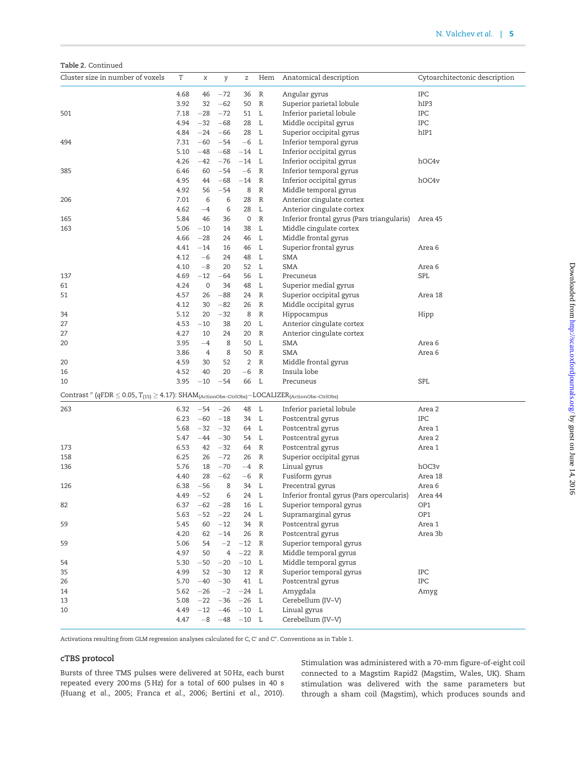Table 2. Continued

| Cluster size in number of voxels                                                                                                                                                | T    | x           | y         | $\mathbf{Z}% ^{T}=\mathbf{Z}^{T}\times\mathbf{Z}^{T}$ | Hem          | Anatomical description                             | Cytoarchitectonic description |
|---------------------------------------------------------------------------------------------------------------------------------------------------------------------------------|------|-------------|-----------|-------------------------------------------------------|--------------|----------------------------------------------------|-------------------------------|
|                                                                                                                                                                                 | 4.68 | 46          | $-72$     | 36                                                    | $\mathbb R$  | Angular gyrus                                      | IPC                           |
|                                                                                                                                                                                 | 3.92 | 32          | $-62$     | 50                                                    | $\mathbb{R}$ | Superior parietal lobule                           | hIP3                          |
| 501                                                                                                                                                                             | 7.18 | $-28$       | $-72$     | 51                                                    | L            | Inferior parietal lobule                           | IPC                           |
|                                                                                                                                                                                 | 4.94 | $-32$       | $-68$     | 28                                                    | L            | Middle occipital gyrus                             | IPC                           |
|                                                                                                                                                                                 | 4.84 | $-24$       | $-66$     | 28                                                    | $\mathbb{L}$ | Superior occipital gyrus                           | hIP1                          |
| 494                                                                                                                                                                             | 7.31 | $-60$       | $-54$     | $-6$                                                  | - L          | Inferior temporal gyrus                            |                               |
|                                                                                                                                                                                 | 5.10 | $-48$       | $-68$     | $-14$                                                 | L            | Inferior occipital gyrus                           |                               |
|                                                                                                                                                                                 | 4.26 | $-42$       | $-76$     | $-14$ L                                               |              | Inferior occipital gyrus                           | hOC4v                         |
| 385                                                                                                                                                                             | 6.46 | 60          | $-54$     | $-6$                                                  | $\mathbb{R}$ | Inferior temporal gyrus                            |                               |
|                                                                                                                                                                                 | 4.95 | 44          | $-68$     | $-14$                                                 | $\mathbb R$  | Inferior occipital gyrus                           | hOC4v                         |
|                                                                                                                                                                                 | 4.92 | 56          | $-54$     | 8                                                     | $\mathbb R$  | Middle temporal gyrus                              |                               |
| 206                                                                                                                                                                             | 7.01 | 6           | 6         | 28                                                    | $\mathbb R$  | Anterior cingulate cortex                          |                               |
|                                                                                                                                                                                 | 4.62 | $-4$        | 6         | 28                                                    | L            | Anterior cingulate cortex                          |                               |
| 165                                                                                                                                                                             | 5.84 | 46          | 36        | 0                                                     | $\mathbb R$  | Inferior frontal gyrus (Pars triangularis) Area 45 |                               |
| 163                                                                                                                                                                             | 5.06 | $-10$       | 14        | 38                                                    | L            | Middle cingulate cortex                            |                               |
|                                                                                                                                                                                 | 4.66 | $-28$       | 24        | 46                                                    | L            | Middle frontal gyrus                               |                               |
|                                                                                                                                                                                 | 4.41 | $-14$       | 16        | 46                                                    | L            | Superior frontal gyrus                             | Area 6                        |
|                                                                                                                                                                                 | 4.12 | $-6$        | 24        | 48                                                    | L            | SMA                                                |                               |
|                                                                                                                                                                                 | 4.10 | $-8$        | 20        | 52                                                    | L            | SMA                                                | Area <sub>6</sub>             |
| 137                                                                                                                                                                             | 4.69 | $-12$       | $-64$     | 56                                                    | L            | Precuneus                                          | SPL                           |
| 61                                                                                                                                                                              | 4.24 | $\mathbf 0$ | 34        | 48                                                    | L            | Superior medial gyrus                              |                               |
| 51                                                                                                                                                                              | 4.57 | 26          | $-88$     | 24                                                    | $\mathbb R$  | Superior occipital gyrus                           | Area 18                       |
|                                                                                                                                                                                 | 4.12 | 30          | $-82$     | 26                                                    | R            | Middle occipital gyrus                             |                               |
| 34                                                                                                                                                                              | 5.12 | 20          | $-32$     | 8                                                     | $\mathbb{R}$ | Hippocampus                                        | Hipp                          |
| 27                                                                                                                                                                              | 4.53 | $-10$       | 38        | 20                                                    | L            | Anterior cingulate cortex                          |                               |
| 27                                                                                                                                                                              | 4.27 | 10          | 24        | 20                                                    | R            | Anterior cingulate cortex                          |                               |
| 20                                                                                                                                                                              | 3.95 | $-4$        | 8         | 50                                                    | L            | SMA                                                | Area 6                        |
|                                                                                                                                                                                 | 3.86 | 4           | 8         | 50                                                    | $\mathbb{R}$ | SMA                                                | Area <sub>6</sub>             |
| 20                                                                                                                                                                              | 4.59 | 30          | 52        | 2                                                     | $\mathbb{R}$ | Middle frontal gyrus                               |                               |
| 16                                                                                                                                                                              | 4.52 | 40          | 20        | $-6$                                                  | R            | Insula lobe                                        |                               |
| 10                                                                                                                                                                              | 3.95 | $-10$       | $-54$     | 66                                                    | L            | Precuneus                                          | SPL                           |
| $\text{Contrast}\text{ }''\text{ }(\text{qFDR}\leq0.05,\text{T}_{(15)}\geq4.17)\text{: } \text{SHAM}_{\text{(ActionObs-CtrlObs)}}-\text{LOCALIZE}_{\text{(ActionObs-CtrlObs)}}$ |      |             |           |                                                       |              |                                                    |                               |
| 263                                                                                                                                                                             | 6.32 |             | $-54 -26$ | 48                                                    | L            | Inferior parietal lobule                           | Area 2                        |
|                                                                                                                                                                                 | 6.23 | $-60$       | $-18$     | 34                                                    | $\mathbb{L}$ | Postcentral gyrus                                  | IPC                           |
|                                                                                                                                                                                 | 5.68 | $-32$       | $-32$     | 64                                                    | L            | Postcentral gyrus                                  | Area 1                        |
|                                                                                                                                                                                 | 5.47 | $-44$       | $-30$     | 54                                                    | L            | Postcentral gyrus                                  | Area 2                        |
| 173                                                                                                                                                                             | 6.53 | 42          | $-32$     | 64                                                    | $\mathbb{R}$ | Postcentral gyrus                                  | Area 1                        |
| 158                                                                                                                                                                             | 6.25 | 26          | $-72$     | 26                                                    | R            | Superior occipital gyrus                           |                               |
| 136                                                                                                                                                                             | 5.76 | 18          | $-70$     | $-4$                                                  | $\mathbb{R}$ | Linual gyrus                                       | hOC3v                         |
|                                                                                                                                                                                 | 4.40 | 28          | $-62$     | $-6$                                                  | $\mathbb{R}$ | Fusiform gyrus                                     | Area 18                       |
| 126                                                                                                                                                                             | 6.38 | $-56$       | 8         | 34                                                    | L            | Precentral gyrus                                   | Area <sub>6</sub>             |
|                                                                                                                                                                                 | 4.49 | $-52$       | 6         | 24                                                    | L            | Inferior frontal gyrus (Pars opercularis)          | Area 44                       |
| 82                                                                                                                                                                              | 6.37 | $-62$       | $-28$     | 16                                                    | L            | Superior temporal gyrus                            | OP1                           |
|                                                                                                                                                                                 | 5.63 | $-52$       | $-22$     | 24                                                    | L            | Supramarginal gyrus                                | OP1                           |
| 59                                                                                                                                                                              | 5.45 | 60          | $-12$     | 34                                                    | $\mathbb{R}$ | Postcentral gyrus                                  | Area 1                        |
|                                                                                                                                                                                 | 4.20 | 62          | $-14$     | 26                                                    | $\mathbb{R}$ | Postcentral gyrus                                  | Area 3b                       |
| 59                                                                                                                                                                              | 5.06 | 54          |           | $-2$ $-12$ R                                          |              | Superior temporal gyrus                            |                               |
|                                                                                                                                                                                 | 4.97 | 50          | 4         | $-22$ R                                               |              | Middle temporal gyrus                              |                               |
| 54                                                                                                                                                                              | 5.30 | $-50$       | $-20$     | $-10$ L                                               |              | Middle temporal gyrus                              |                               |
| 35                                                                                                                                                                              | 4.99 | 52          | $-30$     | 12 R                                                  |              | Superior temporal gyrus                            | IPC                           |
| 26                                                                                                                                                                              | 5.70 | $-40$       | $-30$     | 41 L                                                  |              | Postcentral gyrus                                  | IPC                           |
| 14                                                                                                                                                                              | 5.62 | $-26$       | $-2$      | $-24$ L                                               |              | Amygdala                                           | Amyg                          |
| 13                                                                                                                                                                              | 5.08 | $-22$       | $-36$     | $-26$ L                                               |              | Cerebellum (IV-V)                                  |                               |
| 10                                                                                                                                                                              | 4.49 | $-12$       | $-46$     | $-10$ $\,$ L                                          |              | Linual gyrus                                       |                               |
|                                                                                                                                                                                 | 4.47 | $-8$        | $-48$     | $-10$ L                                               |              | Cerebellum (IV-V)                                  |                               |

Activations resulting from GLM regression analyses calculated for C, C' and C". Conventions as in [Table 1.](#page-1-0)

## cTBS protocol

Bursts of three TMS pulses were delivered at 50 Hz, each burst repeated every 200 ms (5 Hz) for a total of 600 pulses in 40 s [\(Huang](#page-11-0) et al., 2005; [Franca](#page-10-0) et al., 2006; [Bertini](#page-10-0) et al., 2010).

Stimulation was administered with a 70-mm figure-of-eight coil connected to a Magstim Rapid2 (Magstim, Wales, UK). Sham stimulation was delivered with the same parameters but through a sham coil (Magstim), which produces sounds and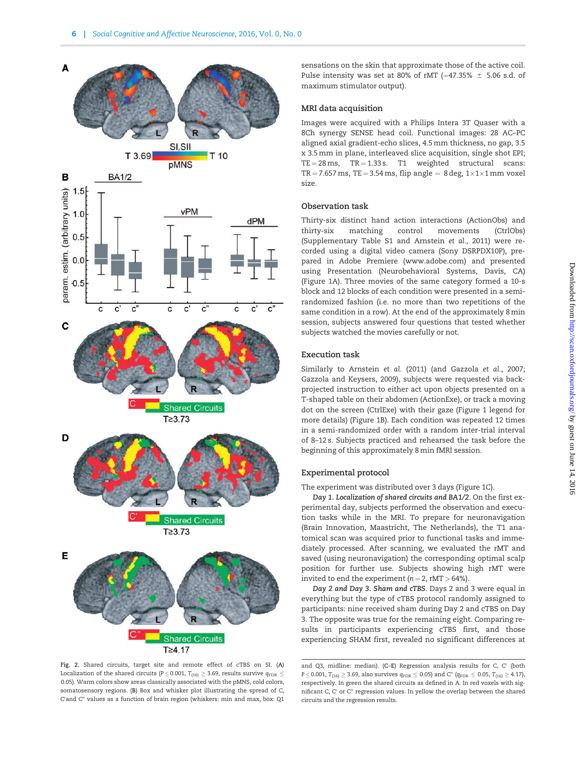<span id="page-5-0"></span>

Fig. 2. Shared circuits, target site and remote effect of cTBS on SI. (A) Localization of the shared circuits (P  $\leq$  0.001, T<sub>(16)</sub>  $\geq$  3.69, results survive  $q_{\text{FDR}}$   $\leq$ 0.05). Warm colors show areas classically associated with the pMNS, cold colors, somatosensory regions. (B) Box and whisker plot illustrating the spread of C, C'and C" values as a function of brain region (whiskers: min and max, box: Q1

sensations on the skin that approximate those of the active coil. Pulse intensity was set at 80% of rMT  $(=47.35\% \pm 5.06 \text{ s.d. of}$ maximum stimulator output).

# MRI data acquisition

Images were acquired with a Philips Intera 3T Quaser with a 8Ch synergy SENSE head coil. Functional images: 28 AC–PC aligned axial gradient-echo slices, 4.5 mm thickness, no gap, 3.5 x 3.5 mm in plane, interleaved slice acquisition, single shot EPI;  $TE = 28 \text{ ms}$ ,  $TR = 1.33 \text{ s}$ . T1 weighted structural scans:  $TR = 7.657$  ms,  $TE = 3.54$  ms, flip angle = 8 deg,  $1 \times 1 \times 1$  mm voxel size.

### Observation task

Thirty-six distinct hand action interactions (ActionObs) and thirty-six matching control movements (CtrlObs) [\(Supplementary Table S1](http://scan.oxfordjournals.org/lookup/suppl/doi:10.1093/scan/nsw029/-/DC1) and Arnstein et al., 2011) were recorded using a digital video camera (Sony DSRPDX10P), prepared in Adobe Premiere ([www.adobe.com](http://www.adobe.com)) and presented using Presentation (Neurobehavioral Systems, Davis, CA) [\(Figure 1A](#page-2-0)). Three movies of the same category formed a 10-s block and 12 blocks of each condition were presented in a semirandomized fashion (i.e. no more than two repetitions of the same condition in a row). At the end of the approximately 8 min session, subjects answered four questions that tested whether subjects watched the movies carefully or not.

#### Execution task

Similarly to [Arnstein](#page-9-0) et al. (2011) (and Gazzola et al., 2007; [Gazzola and Keysers, 2009](#page-10-0)), subjects were requested via backprojected instruction to either act upon objects presented on a T-shaped table on their abdomen (ActionExe), or track a moving dot on the screen (CtrlExe) with their gaze [\(Figure 1](#page-2-0) legend for more details) [\(Figure 1B](#page-2-0)). Each condition was repeated 12 times in a semi-randomized order with a random inter-trial interval of 8–12 s. Subjects practiced and rehearsed the task before the beginning of this approximately 8 min fMRI session.

## Experimental protocol

The experiment was distributed over 3 days [\(Figure 1C\)](#page-2-0).

Day 1. Localization of shared circuits and BA1/2. On the first experimental day, subjects performed the observation and execution tasks while in the MRI. To prepare for neuronavigation (Brain Innovation, Maastricht, The Netherlands), the T1 anatomical scan was acquired prior to functional tasks and immediately processed. After scanning, we evaluated the rMT and saved (using neuronavigation) the corresponding optimal scalp position for further use. Subjects showing high rMT were invited to end the experiment ( $n = 2$ , rMT > 64%).

Day 2 and Day 3. Sham and cTBS. Days 2 and 3 were equal in everything but the type of cTBS protocol randomly assigned to participants: nine received sham during Day 2 and cTBS on Day 3. The opposite was true for the remaining eight. Comparing results in participants experiencing cTBS first, and those experiencing SHAM first, revealed no significant differences at

and Q3, midline: median).  $(C-E)$  Regression analysis results for C, C' (both  $P \le 0.001$ ,  $T_{(16)} \ge 3.69$ , also survives  $q_{\text{FDR}} \le 0.05$ ) and C'' ( $q_{\text{FDR}} \le 0.05$ ,  $T_{(16)} \ge 4.17$ ), respectively. In green the shared circuits as defined in A. In red voxels with significant C, C' or C" regression values. In yellow the overlap between the shared circuits and the regression results.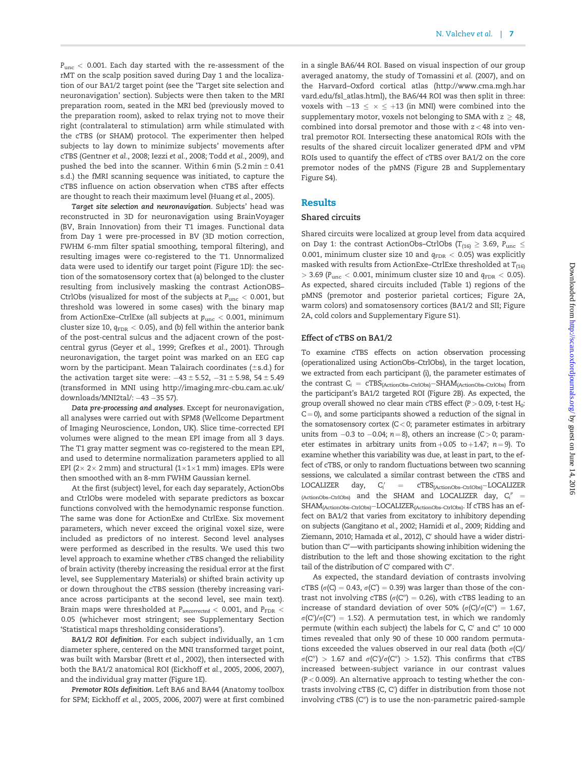$P_{\text{unc}}$  < 0.001. Each day started with the re-assessment of the rMT on the scalp position saved during Day 1 and the localization of our BA1/2 target point (see the 'Target site selection and neuronavigation' section). Subjects were then taken to the MRI preparation room, seated in the MRI bed (previously moved to the preparation room), asked to relax trying not to move their right (contralateral to stimulation) arm while stimulated with the cTBS (or SHAM) protocol. The experimenter then helped subjects to lay down to minimize subjects' movements after cTBS [\(Gentner](#page-10-0) et al., 2008; Iezzi et al.[, 2008;](#page-11-0) Todd et al.[, 2009\)](#page-12-0), and pushed the bed into the scanner. Within 6 min  $(5.2 \text{ min} \pm 0.41)$ s.d.) the fMRI scanning sequence was initiated, to capture the cTBS influence on action observation when cTBS after effects are thought to reach their maximum level [\(Huang](#page-11-0) et al., 2005).

Target site selection and neuronavigation. Subjects' head was reconstructed in 3D for neuronavigation using BrainVoyager (BV, Brain Innovation) from their T1 images. Functional data from Day 1 were pre-processed in BV (3D motion correction, FWHM 6-mm filter spatial smoothing, temporal filtering), and resulting images were co-registered to the T1. Unnormalized data were used to identify our target point ([Figure 1D\)](#page-2-0): the section of the somatosensory cortex that (a) belonged to the cluster resulting from inclusively masking the contrast ActionOBS– CtrlObs (visualized for most of the subjects at  $P_{\text{unc}} < 0.001$ , but threshold was lowered in some cases) with the binary map from ActionExe–CtrlExe (all subjects at  $p_{\text{unc}} < 0.001$ , minimum cluster size 10,  $q_{\text{FDR}} < 0.05$ ), and (b) fell within the anterior bank of the post-central sulcus and the adjacent crown of the postcentral gyrus (Geyer et al.[, 1999; Grefkes](#page-10-0) et al., 2001). Through neuronavigation, the target point was marked on an EEG cap worn by the participant. Mean Talairach coordinates  $(\pm s.d.)$  for the activation target site were:  $-43 \pm 5.52$ ,  $-31 \pm 5.98$ ,  $54 \pm 5.49$ (transformed in MNI using [http://imaging.mrc-cbu.cam.ac.uk/](http://imaging.mrc-cbu.cam.ac.uk/downloads/MNI2tal/) [downloads/MNI2tal/:](http://imaging.mrc-cbu.cam.ac.uk/downloads/MNI2tal/) -43 -35 57).

Data pre-processing and analyses. Except for neuronavigation, all analyses were carried out with SPM8 (Wellcome Department of Imaging Neuroscience, London, UK). Slice time-corrected EPI volumes were aligned to the mean EPI image from all 3 days. The T1 gray matter segment was co-registered to the mean EPI, and used to determine normalization parameters applied to all EPI ( $2 \times 2 \times 2$  mm) and structural ( $1 \times 1 \times 1$  mm) images. EPIs were then smoothed with an 8-mm FWHM Gaussian kernel.

At the first (subject) level, for each day separately, ActionObs and CtrlObs were modeled with separate predictors as boxcar functions convolved with the hemodynamic response function. The same was done for ActionExe and CtrlExe. Six movement parameters, which never exceed the original voxel size, were included as predictors of no interest. Second level analyses were performed as described in the results. We used this two level approach to examine whether cTBS changed the reliability of brain activity (thereby increasing the residual error at the first level, see [Supplementary Materials\)](http://scan.oxfordjournals.org/lookup/suppl/doi:10.1093/scan/nsw029/-/DC1) or shifted brain activity up or down throughout the cTBS session (thereby increasing variance across participants at the second level, see main text). Brain maps were thresholded at  $P_{uncorrected} < 0.001$ , and  $P_{\rm FDR} <$ 0.05 (whichever most stringent; see Supplementary Section 'Statistical maps thresholding considerations').

BA1/2 ROI definition. For each subject individually, an 1 cm diameter sphere, centered on the MNI transformed target point, was built with Marsbar (Brett et al.[, 2002\)](#page-10-0), then intersected with both the BA1/2 anatomical ROI [\(Eickhoff](#page-10-0) et al., 2005[, 2006, 2007\)](#page-10-0), and the individual gray matter ([Figure 1E\)](#page-2-0).

Premotor ROIs definition. Left BA6 and BA44 (Anatomy toolbox for SPM; [Eickhoff](#page-10-0) et al., 200[5, 2006](#page-10-0), [2007](#page-10-0)) were at first combined in a single BA6/44 ROI. Based on visual inspection of our group averaged anatomy, the study of [Tomassini](#page-12-0) et al. (2007), and on the Harvard–Oxford cortical atlas ([http://www.cma.mgh.har](http://www.cma.mgh.harvard.edu/fsl_atlas.html) [vard.edu/fsl\\_atlas.html\)](http://www.cma.mgh.harvard.edu/fsl_atlas.html), the BA6/44 ROI was then split in three: voxels with  $-13 \le x \le +13$  (in MNI) were combined into the supplementary motor, voxels not belonging to SMA with  $z \geq 48$ , combined into dorsal premotor and those with  $z < 48$  into ventral premotor ROI. Intersecting these anatomical ROIs with the results of the shared circuit localizer generated dPM and vPM ROIs used to quantify the effect of cTBS over BA1/2 on the core premotor nodes of the pMNS [\(Figure 2B](#page-5-0) and [Supplementary](http://scan.oxfordjournals.org/lookup/suppl/doi:10.1093/scan/nsw029/-/DC1) [Figure S4](http://scan.oxfordjournals.org/lookup/suppl/doi:10.1093/scan/nsw029/-/DC1)).

# Results

### Shared circuits

Shared circuits were localized at group level from data acquired on Day 1: the contrast ActionObs–CtrlObs ( $T_{(16)} \geq 3.69$ ,  $P_{\text{unc}} \leq 3.69$ 0.001, minimum cluster size 10 and  $q_{\text{FDR}} < 0.05$ ) was explicitly masked with results from ActionExe–CtrlExe thresholded at  $T_{(16)}$  $>$  3.69 (P<sub>unc</sub> < 0.001, minimum cluster size 10 and  $q_{\text{FDR}}$  < 0.05). As expected, shared circuits included ([Table 1](#page-1-0)) regions of the pMNS (premotor and posterior parietal cortices; [Figure 2A](#page-5-0), warm colors) and somatosensory cortices (BA1/2 and SII; [Figure](#page-5-0) [2A,](#page-5-0) cold colors and [Supplementary Figure S1](http://scan.oxfordjournals.org/lookup/suppl/doi:10.1093/scan/nsw029/-/DC1)).

# Effect of cTBS on BA1/2

To examine cTBS effects on action observation processing (operationalized using ActionObs–CtrlObs), in the target location, we extracted from each participant (i), the parameter estimates of the contrast  $C_i = cTBS_{(ActionObs-Ctr1Obs)} - SHAM_{(ActionObs-Ctr1Obs)}$  from the participant's BA1/2 targeted ROI [\(Figure 2B](#page-5-0)). As expected, the group overall showed no clear main cTBS effect  $(P > 0.09$ , t-test H<sub>0</sub>:  $C = 0$ ), and some participants showed a reduction of the signal in the somatosensory cortex  $(C < 0$ ; parameter estimates in arbitrary units from  $-0.3$  to  $-0.04$ ;  $n = 8$ ), others an increase (C > 0; parameter estimates in arbitrary units from  $+0.05$  to  $+1.47$ ; n = 9). To examine whether this variability was due, at least in part, to the effect of cTBS, or only to random fluctuations between two scanning sessions, we calculated a similar contrast between the cTBS and LOCALIZER day,  $C_i'$  $=$   $CTBS<sub>(ActionObs-CtrlObs)</sub> - LOCALIZER$ (ActionObs–CtrlObs) and the SHAM and LOCALIZER day, C<sub>i</sub>" =  $SHAM$ <sub>(ActionObs–CtrlObs)</sub>–LOCALIZER<sub>(ActionObs–CtrlObs)</sub>. If cTBS has an effect on BA1/2 that varies from excitatory to inhibitory depending on subjects ([Gangitano](#page-10-0) et al., 2002; [Hamidi](#page-11-0) et al., 2009; [Ridding and](#page-11-0) [Ziemann, 2010; Hamada](#page-11-0) et al., 2012), C' should have a wider distribution than C"—with participants showing inhibition widening the distribution to the left and those showing excitation to the right tail of the distribution of C' compared with C".

As expected, the standard deviation of contrasts involving cTBS ( $\sigma$ (C) = 0.43,  $\sigma$ (C') = 0.39) was larger than those of the contrast not involving cTBS ( $\sigma$ (C'') = 0.26), with cTBS leading to an increase of standard deviation of over 50% ( $\sigma$ (C)/ $\sigma$ (C'') = 1.67,  $\sigma(C')/\sigma(C'') = 1.52$ ). A permutation test, in which we randomly permute (within each subject) the labels for C, C' and C'' 10 000 times revealed that only 90 of these 10 000 random permutations exceeded the values observed in our real data (both  $\sigma(C)/$  $\sigma(C'') > 1.67$  and  $\sigma(C')/\sigma(C'') > 1.52$ ). This confirms that cTBS increased between-subject variance in our contrast values (P < 0.009). An alternative approach to testing whether the contrasts involving cTBS (C, C') differ in distribution from those not involving cTBS  $(C<sup>n</sup>)$  is to use the non-parametric paired-sample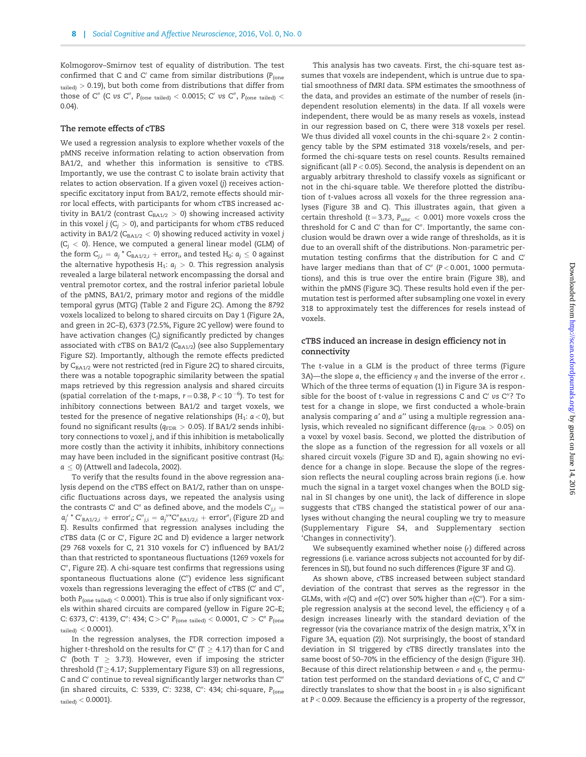Kolmogorov–Smirnov test of equality of distribution. The test confirmed that C and C' came from similar distributions ( $P_{\text{(one)}}$  $t_{\text{ailed}}$   $>$  0.19), but both come from distributions that differ from those of C'' (C vs C'', P<sub>(one tailed)</sub> < 0.0015; C' vs C'', P<sub>(one tailed)</sub> < 0.04).

#### The remote effects of cTBS

We used a regression analysis to explore whether voxels of the pMNS receive information relating to action observation from BA1/2, and whether this information is sensitive to cTBS. Importantly, we use the contrast C to isolate brain activity that relates to action observation. If a given voxel (j) receives actionspecific excitatory input from BA1/2, remote effects should mirror local effects, with participants for whom cTBS increased activity in BA1/2 (contrast  $C_{BA1/2} > 0$ ) showing increased activity in this voxel  $j$  (C<sub>i</sub>  $> 0$ ), and participants for whom cTBS reduced activity in BA1/2 ( $C_{BA1/2}$  < 0) showing reduced activity in voxel j  $(C_i < 0)$ . Hence, we computed a general linear model (GLM) of the form  $C_{j,i} = a_j^* C_{BA1/2,i} + error_i$ , and tested  $H_0: a_j \leq 0$  against the alternative hypothesis  $H_1: a_i > 0$ . This regression analysis revealed a large bilateral network encompassing the dorsal and ventral premotor cortex, and the rostral inferior parietal lobule of the pMNS, BA1/2, primary motor and regions of the middle temporal gyrus (MTG) ([Table 2](#page-3-0) and [Figure 2C\)](#page-5-0). Among the 8792 voxels localized to belong to shared circuits on Day 1 ([Figure 2A](#page-5-0), and green in 2C–E), 6373 (72.5%, [Figure 2C](#page-5-0) yellow) were found to have activation changes  $(C_i)$  significantly predicted by changes associated with cTBS on BA1/2  $(C_{BA1/2})$  (see also [Supplementary](http://scan.oxfordjournals.org/lookup/suppl/doi:10.1093/scan/nsw029/-/DC1) [Figure S2\)](http://scan.oxfordjournals.org/lookup/suppl/doi:10.1093/scan/nsw029/-/DC1). Importantly, although the remote effects predicted by  $C_{BA1/2}$  were not restricted (red in [Figure 2C](#page-5-0)) to shared circuits, there was a notable topographic similarity between the spatial maps retrieved by this regression analysis and shared circuits (spatial correlation of the t-maps,  $r = 0.38$ ,  $P < 10^{-6}$ ). To test for inhibitory connections between BA1/2 and target voxels, we tested for the presence of negative relationships ( $H_1$ :  $a < 0$ ), but found no significant results ( $q_{\rm FDR} > 0.05$ ). If BA1/2 sends inhibitory connections to voxel j, and if this inhibition is metabolically more costly than the activity it inhibits, inhibitory connections may have been included in the significant positive contrast  $(H_0:$  $a < 0$ ) [\(Attwell and Iadecola, 2002](#page-10-0)).

To verify that the results found in the above regression analysis depend on the cTBS effect on BA1/2, rather than on unspecific fluctuations across days, we repeated the analysis using the contrasts C' and C" as defined above, and the models  $C'_{j,i} =$  ${a'_j}^*$  C'<sub>BA1/2,i</sub> + error'<sub>i</sub>; C"<sub>j,i</sub> =  $a_j$ "\*C"<sub>BA1/2,i</sub> + error"<sub>i</sub> [\(Figure 2D and](#page-5-0) [E](#page-5-0)). Results confirmed that regression analyses including the cTBS data (C or C', [Figure 2C and D](#page-5-0)) evidence a larger network (29 768 voxels for C, 21 310 voxels for C') influenced by BA1/2 than that restricted to spontaneous fluctuations (1269 voxels for C", [Figure 2E](#page-5-0)). A chi-square test confirms that regressions using spontaneous fluctuations alone  $(C<sup>n</sup>)$  evidence less significant voxels than regressions leveraging the effect of cTBS (C' and C", both  $P_{\text{(one-tailed)}} < 0.0001$ ). This is true also if only significant voxels within shared circuits are compared (yellow in [Figure 2C–E;](#page-5-0) C: 6373, C': 4139, C'': 434; C > C''  $P_{\text{(one-tailed)}} < 0.0001$ , C' > C''  $P_{\text{(one)}}$  $_{\rm{tailed}}$   $< 0.0001$ ).

In the regression analyses, the FDR correction imposed a higher t-threshold on the results for C" (T  $\geq 4.17$ ) than for C and C' (both  $T \geq 3.73$ ). However, even if imposing the stricter threshold ( $T \geq 4.17$ ; [Supplementary Figure S3](http://scan.oxfordjournals.org/lookup/suppl/doi:10.1093/scan/nsw029/-/DC1)) on all regressions, C and C' continue to reveal significantly larger networks than C" (in shared circuits, C: 5339, C': 3238, C": 434; chi-square, P<sub>(one</sub>  $_{\text{tailed}}$  < 0.0001).

This analysis has two caveats. First, the chi-square test assumes that voxels are independent, which is untrue due to spatial smoothness of fMRI data. SPM estimates the smoothness of the data, and provides an estimate of the number of resels (independent resolution elements) in the data. If all voxels were independent, there would be as many resels as voxels, instead in our regression based on C, there were 318 voxels per resel. We thus divided all voxel counts in the chi-square  $2 \times 2$  contingency table by the SPM estimated 318 voxels/resels, and performed the chi-square tests on resel counts. Results remained significant (all  $P < 0.05$ ). Second, the analysis is dependent on an arguably arbitrary threshold to classify voxels as significant or not in the chi-square table. We therefore plotted the distribution of t-values across all voxels for the three regression analyses [\(Figure 3B and C](#page-8-0)). This illustrates again, that given a certain threshold (t = 3.73,  $P_{unc}$  < 0.001) more voxels cross the threshold for C and C' than for C". Importantly, the same conclusion would be drawn over a wide range of thresholds, as it is due to an overall shift of the distributions. Non-parametric permutation testing confirms that the distribution for C and C' have larger medians than that of  $C''$  (P < 0.001, 1000 permutations), and this is true over the entire brain ([Figure 3B\)](#page-8-0), and within the pMNS [\(Figure 3C](#page-8-0)). These results hold even if the permutation test is performed after subsampling one voxel in every 318 to approximately test the differences for resels instead of voxels.

## cTBS induced an increase in design efficiency not in connectivity

The t-value in a GLM is the product of three terms ([Figure](#page-8-0) [3A](#page-8-0))—the slope a, the efficiency  $\eta$  and the inverse of the error  $\epsilon$ . Which of the three terms of equation (1) in [Figure 3A](#page-8-0) is responsible for the boost of t-value in regressions C and C' vs  $C''$ ? To test for a change in slope, we first conducted a whole-brain analysis comparing a' and a" using a multiple regression analysis, which revealed no significant difference ( $q_{\rm FDR} > 0.05$ ) on a voxel by voxel basis. Second, we plotted the distribution of the slope as a function of the regression for all voxels or all shared circuit voxels ([Figure 3D and E](#page-8-0)), again showing no evidence for a change in slope. Because the slope of the regression reflects the neural coupling across brain regions (i.e. how much the signal in a target voxel changes when the BOLD signal in SI changes by one unit), the lack of difference in slope suggests that cTBS changed the statistical power of our analyses without changing the neural coupling we try to measure ([Supplementary Figure S4,](http://scan.oxfordjournals.org/lookup/suppl/doi:10.1093/scan/nsw029/-/DC1) and Supplementary section 'Changes in connectivity').

We subsequently examined whether noise  $(\epsilon)$  differed across regressions (i.e. variance across subjects not accounted for by differences in SI), but found no such differences [\(Figure 3F and G](#page-8-0)).

As shown above, cTBS increased between subject standard deviation of the contrast that serves as the regressor in the GLMs, with  $\sigma(C)$  and  $\sigma(C')$  over 50% higher than  $\sigma(C'')$ . For a simple regression analysis at the second level, the efficiency  $\eta$  of a design increases linearly with the standard deviation of the regressor (via the covariance matrix of the design matrix,  $X<sup>T</sup>X$  in [Figure 3A](#page-8-0), equation (2)). Not surprisingly, the boost of standard deviation in SI triggered by cTBS directly translates into the same boost of 50–70% in the efficiency of the design ([Figure 3H\)](#page-8-0). Because of this direct relationship between  $\sigma$  and  $\eta$ , the permutation test performed on the standard deviations of C, C' and C" directly translates to show that the boost in  $\eta$  is also significant at  $P < 0.009$ . Because the efficiency is a property of the regressor,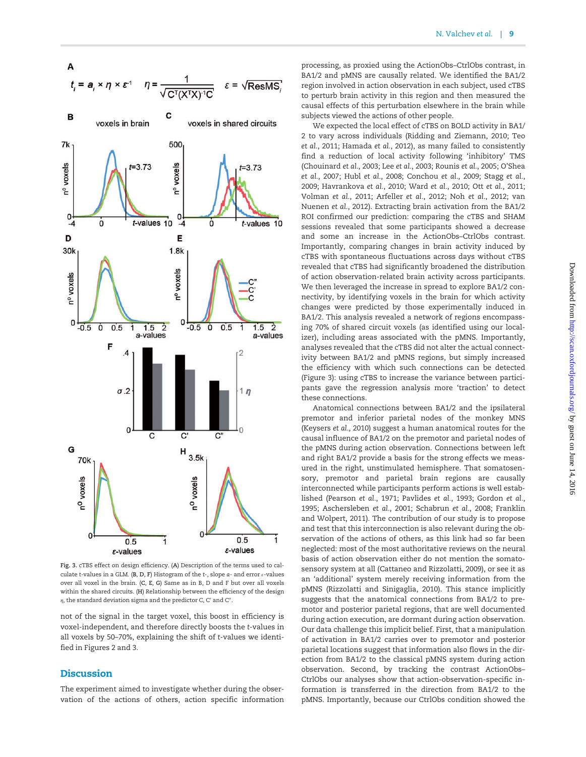<span id="page-8-0"></span>

Fig. 3. cTBS effect on design efficiency. (A) Description of the terms used to calculate t-values in a GLM. (B, D, F) Histogram of the t-, slope  $a$ - and error  $\epsilon$ -values over all voxel in the brain. (C, E, G) Same as in B, D and F but over all voxels within the shared circuits. (H) Relationship between the efficiency of the design  $\eta$ , the standard deviation sigma and the predictor C, C' and C".

not of the signal in the target voxel, this boost in efficiency is voxel-independent, and therefore directly boosts the t-values in all voxels by 50–70%, explaining the shift of t-values we identified in [Figures 2](#page-5-0) and 3.

# **Discussion**

The experiment aimed to investigate whether during the observation of the actions of others, action specific information processing, as proxied using the ActionObs–CtrlObs contrast, in BA1/2 and pMNS are causally related. We identified the BA1/2 region involved in action observation in each subject, used cTBS to perturb brain activity in this region and then measured the causal effects of this perturbation elsewhere in the brain while subjects viewed the actions of other people.

We expected the local effect of cTBS on BOLD activity in BA1/ 2 to vary across individuals [\(Ridding and Ziemann, 2010](#page-11-0); [Teo](#page-12-0) et al.[, 2011](#page-12-0); [Hamada](#page-11-0) et al., 2012), as many failed to consistently find a reduction of local activity following 'inhibitory' TMS [\(Chouinard](#page-10-0) et al., 2003; Lee et al.[, 2003](#page-11-0); [Rounis](#page-12-0) et al., 2005; [O'Shea](#page-11-0) et al.[, 2007;](#page-11-0) Hubl et al.[, 2008](#page-11-0); [Conchou](#page-10-0) et al., 2009; [Stagg](#page-12-0) et al., [2009;](#page-12-0) [Havrankova](#page-11-0) et al., 2010; Ward et al.[, 2010](#page-12-0); Ott et al.[, 2011](#page-11-0); [Volman](#page-12-0) et al., 2011; [Arfeller](#page-9-0) et al., 2012; Noh et al.[, 2012;](#page-11-0) [van](#page-12-0) [Nuenen](#page-12-0) et al., 2012). Extracting brain activation from the BA1/2 ROI confirmed our prediction: comparing the cTBS and SHAM sessions revealed that some participants showed a decrease and some an increase in the ActionObs–CtrlObs contrast. Importantly, comparing changes in brain activity induced by cTBS with spontaneous fluctuations across days without cTBS revealed that cTBS had significantly broadened the distribution of action observation-related brain activity across participants. We then leveraged the increase in spread to explore BA1/2 connectivity, by identifying voxels in the brain for which activity changes were predicted by those experimentally induced in BA1/2. This analysis revealed a network of regions encompassing 70% of shared circuit voxels (as identified using our localizer), including areas associated with the pMNS. Importantly, analyses revealed that the cTBS did not alter the actual connectivity between BA1/2 and pMNS regions, but simply increased the efficiency with which such connections can be detected (Figure 3): using cTBS to increase the variance between participants gave the regression analysis more 'traction' to detect these connections.

Anatomical connections between BA1/2 and the ipsilateral premotor and inferior parietal nodes of the monkey MNS [\(Keysers](#page-11-0) et al., 2010) suggest a human anatomical routes for the causal influence of BA1/2 on the premotor and parietal nodes of the pMNS during action observation. Connections between left and right BA1/2 provide a basis for the strong effects we measured in the right, unstimulated hemisphere. That somatosensory, premotor and parietal brain regions are causally interconnected while participants perform actions is well established [\(Pearson](#page-11-0) et al., 1971; [Pavlides](#page-11-0) et al., 1993; [Gordon](#page-10-0) et al., [1995; Aschersleben](#page-10-0) et al., 2001; [Schabrun](#page-12-0) et al., 2008; [Franklin](#page-10-0) [and Wolpert, 2011](#page-10-0)). The contribution of our study is to propose and test that this interconnection is also relevant during the observation of the actions of others, as this link had so far been neglected: most of the most authoritative reviews on the neural basis of action observation either do not mention the somatosensory system at all ([Cattaneo and Rizzolatti, 2009](#page-10-0)), or see it as an 'additional' system merely receiving information from the pMNS [\(Rizzolatti and Sinigaglia, 2010\)](#page-11-0). This stance implicitly suggests that the anatomical connections from BA1/2 to premotor and posterior parietal regions, that are well documented during action execution, are dormant during action observation. Our data challenge this implicit belief. First, that a manipulation of activation in BA1/2 carries over to premotor and posterior parietal locations suggest that information also flows in the direction from BA1/2 to the classical pMNS system during action observation. Second, by tracking the contrast ActionObs– CtrlObs our analyses show that action-observation-specific information is transferred in the direction from BA1/2 to the pMNS. Importantly, because our CtrlObs condition showed the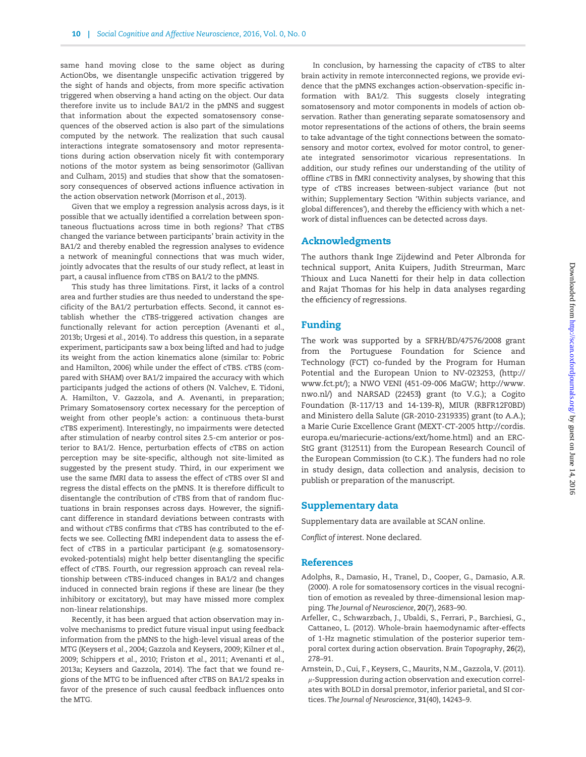<span id="page-9-0"></span>same hand moving close to the same object as during ActionObs, we disentangle unspecific activation triggered by the sight of hands and objects, from more specific activation triggered when observing a hand acting on the object. Our data therefore invite us to include BA1/2 in the pMNS and suggest that information about the expected somatosensory consequences of the observed action is also part of the simulations computed by the network. The realization that such causal interactions integrate somatosensory and motor representations during action observation nicely fit with contemporary notions of the motor system as being sensorimotor ([Gallivan](#page-10-0) [and Culham, 2015](#page-10-0)) and studies that show that the somatosensory consequences of observed actions influence activation in the action observation network ([Morrison](#page-11-0) et al., 2013).

Given that we employ a regression analysis across days, is it possible that we actually identified a correlation between spontaneous fluctuations across time in both regions? That cTBS changed the variance between participants' brain activity in the BA1/2 and thereby enabled the regression analyses to evidence a network of meaningful connections that was much wider, jointly advocates that the results of our study reflect, at least in part, a causal influence from cTBS on BA1/2 to the pMNS.

This study has three limitations. First, it lacks of a control area and further studies are thus needed to understand the specificity of the BA1/2 perturbation effects. Second, it cannot establish whether the cTBS-triggered activation changes are functionally relevant for action perception [\(Avenanti](#page-10-0) et al., [2013b](#page-10-0); [Urgesi](#page-12-0) et al., 2014). To address this question, in a separate experiment, participants saw a box being lifted and had to judge its weight from the action kinematics alone (similar to: [Pobric](#page-11-0) [and Hamilton, 2006](#page-11-0)) while under the effect of cTBS. cTBS (compared with SHAM) over BA1/2 impaired the accuracy with which participants judged the actions of others (N. Valchev, E. Tidoni, A. Hamilton, V. Gazzola, and A. Avenanti, in preparation; Primary Somatosensory cortex necessary for the perception of weight from other people's action: a continuous theta-burst cTBS experiment). Interestingly, no impairments were detected after stimulation of nearby control sites 2.5-cm anterior or posterior to BA1/2. Hence, perturbation effects of cTBS on action perception may be site-specific, although not site-limited as suggested by the present study. Third, in our experiment we use the same fMRI data to assess the effect of cTBS over SI and regress the distal effects on the pMNS. It is therefore difficult to disentangle the contribution of cTBS from that of random fluctuations in brain responses across days. However, the significant difference in standard deviations between contrasts with and without cTBS confirms that cTBS has contributed to the effects we see. Collecting fMRI independent data to assess the effect of cTBS in a particular participant (e.g. somatosensoryevoked-potentials) might help better disentangling the specific effect of cTBS. Fourth, our regression approach can reveal relationship between cTBS-induced changes in BA1/2 and changes induced in connected brain regions if these are linear (be they inhibitory or excitatory), but may have missed more complex non-linear relationships.

Recently, it has been argued that action observation may involve mechanisms to predict future visual input using feedback information from the pMNS to the high-level visual areas of the MTG ([Keysers](#page-11-0) et al., 2004; [Gazzola and Keysers, 2009;](#page-10-0) [Kilner](#page-11-0) et al., [2009;](#page-11-0) [Schippers](#page-12-0) et al., 2010; [Friston](#page-10-0) et al., 2011; [Avenanti](#page-10-0) et al., [2013a](#page-10-0); [Keysers and Gazzola, 2014](#page-11-0)). The fact that we found regions of the MTG to be influenced after cTBS on BA1/2 speaks in favor of the presence of such causal feedback influences onto the MTG.

In conclusion, by harnessing the capacity of cTBS to alter brain activity in remote interconnected regions, we provide evidence that the pMNS exchanges action-observation-specific information with BA1/2. This suggests closely integrating somatosensory and motor components in models of action observation. Rather than generating separate somatosensory and motor representations of the actions of others, the brain seems to take advantage of the tight connections between the somatosensory and motor cortex, evolved for motor control, to generate integrated sensorimotor vicarious representations. In addition, our study refines our understanding of the utility of offline cTBS in fMRI connectivity analyses, by showing that this type of cTBS increases between-subject variance (but not within; Supplementary Section 'Within subjects variance, and global differences'), and thereby the efficiency with which a network of distal influences can be detected across days.

## Acknowledgments

The authors thank Inge Zijdewind and Peter Albronda for technical support, Anita Kuipers, Judith Streurman, Marc Thioux and Luca Nanetti for their help in data collection and Rajat Thomas for his help in data analyses regarding the efficiency of regressions.

## Funding

The work was supported by a SFRH/BD/47576/2008 grant from the Portuguese Foundation for Science and Technology (FCT) co-funded by the Program for Human Potential and the European Union to NV-023253, ([http://](http://www.fct.pt/) [www.fct.pt/](http://www.fct.pt/)); a NWO VENI (451-09-006 MaGW; [http://www.](http://www.nwo.nl/) [nwo.nl/\)](http://www.nwo.nl/) and NARSAD (22453) grant (to V.G.); a Cogito Foundation (R-117/13 and 14-139-R), MIUR (RBFR12F0BD) and Ministero della Salute (GR-2010-2319335) grant (to A.A.); a Marie Curie Excellence Grant (MEXT-CT-2005 [http://cordis.](http://cordis.europa.eu/mariecurie-actions/ext/home.html) [europa.eu/mariecurie-actions/ext/home.html](http://cordis.europa.eu/mariecurie-actions/ext/home.html)) and an ERC-StG grant (312511) from the European Research Council of the European Commission (to C.K.). The funders had no role in study design, data collection and analysis, decision to publish or preparation of the manuscript.

## Supplementary data

[Supplementary data](http://scan.oxfordjournals.org/lookup/suppl/doi:10.1093/scan/nsw029/-/DC1) are available at SCAN online.

Conflict of interest. None declared.

### References

- Adolphs, R., Damasio, H., Tranel, D., Cooper, G., Damasio, A.R. (2000). A role for somatosensory cortices in the visual recognition of emotion as revealed by three-dimensional lesion mapping. The Journal of Neuroscience, 20(7), 2683–90.
- Arfeller, C., Schwarzbach, J., Ubaldi, S., Ferrari, P., Barchiesi, G., Cattaneo, L. (2012). Whole-brain haemodynamic after-effects of 1-Hz magnetic stimulation of the posterior superior temporal cortex during action observation. Brain Topography, 26(2), 278–91.
- Arnstein, D., Cui, F., Keysers, C., Maurits, N.M., Gazzola, V. (2011).  $\mu$ -Suppression during action observation and execution correlates with BOLD in dorsal premotor, inferior parietal, and SI cortices. The Journal of Neuroscience, 31(40), 14243–9.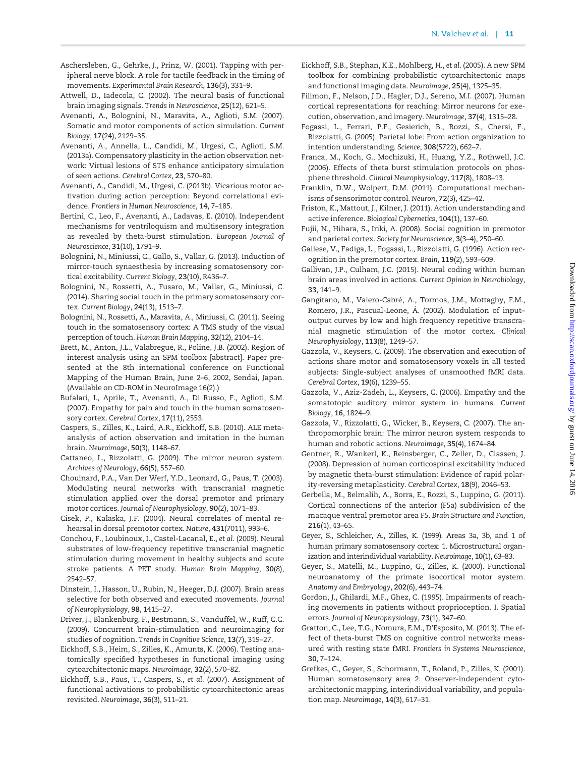- <span id="page-10-0"></span>Aschersleben, G., Gehrke, J., Prinz, W. (2001). Tapping with peripheral nerve block. A role for tactile feedback in the timing of movements. Experimental Brain Research, 136(3), 331–9.
- Attwell, D., Iadecola, C. (2002). The neural basis of functional brain imaging signals. Trends in Neuroscience, 25(12), 621–5.
- Avenanti, A., Bolognini, N., Maravita, A., Aglioti, S.M. (2007). Somatic and motor components of action simulation. Current Biology, 17(24), 2129–35.
- Avenanti, A., Annella, L., Candidi, M., Urgesi, C., Aglioti, S.M. (2013a). Compensatory plasticity in the action observation network: Virtual lesions of STS enhance anticipatory simulation of seen actions. Cerebral Cortex, 23, 570–80.
- Avenanti, A., Candidi, M., Urgesi, C. (2013b). Vicarious motor activation during action perception: Beyond correlational evidence. Frontiers in Human Neuroscience, 14, 7–185.
- Bertini, C., Leo, F., Avenanti, A., Ladavas, E. (2010). Independent mechanisms for ventriloquism and multisensory integration as revealed by theta-burst stimulation. European Journal of Neuroscience, 31(10), 1791–9.
- Bolognini, N., Miniussi, C., Gallo, S., Vallar, G. (2013). Induction of mirror-touch synaesthesia by increasing somatosensory cortical excitability. Current Biology, 23(10), R436–7.
- Bolognini, N., Rossetti, A., Fusaro, M., Vallar, G., Miniussi, C. (2014). Sharing social touch in the primary somatosensory cortex. Current Biology, 24(13), 1513–7.
- Bolognini, N., Rossetti, A., Maravita, A., Miniussi, C. (2011). Seeing touch in the somatosensory cortex: A TMS study of the visual perception of touch. Human Brain Mapping, 32(12), 2104–14.
- Brett, M., Anton, J.L., Valabregue, R., Poline, J.B. (2002). Region of interest analysis using an SPM toolbox [abstract]. Paper presented at the 8th international conference on Functional Mapping of the Human Brain, June 2–6, 2002, Sendai, Japan. (Available on CD-ROM in NeuroImage 16(2).)
- Bufalari, I., Aprile, T., Avenanti, A., Di Russo, F., Aglioti, S.M. (2007). Empathy for pain and touch in the human somatosensory cortex. Cerebral Cortex, 17(11), 2553.
- Caspers, S., Zilles, K., Laird, A.R., Eickhoff, S.B. (2010). ALE metaanalysis of action observation and imitation in the human brain. Neuroimage, 50(3), 1148–67.
- Cattaneo, L., Rizzolatti, G. (2009). The mirror neuron system. Archives of Neurology, 66(5), 557–60.
- Chouinard, P.A., Van Der Werf, Y.D., Leonard, G., Paus, T. (2003). Modulating neural networks with transcranial magnetic stimulation applied over the dorsal premotor and primary motor cortices. Journal of Neurophysiology, 90(2), 1071–83.
- Cisek, P., Kalaska, J.F. (2004). Neural correlates of mental rehearsal in dorsal premotor cortex. Nature, 431(7011), 993–6.
- Conchou, F., Loubinoux, I., Castel-Lacanal, E., et al. (2009). Neural substrates of low-frequency repetitive transcranial magnetic stimulation during movement in healthy subjects and acute stroke patients. A PET study. Human Brain Mapping, 30(8), 2542–57.
- Dinstein, I., Hasson, U., Rubin, N., Heeger, D.J. (2007). Brain areas selective for both observed and executed movements. Journal of Neurophysiology, 98, 1415–27.
- Driver, J., Blankenburg, F., Bestmann, S., Vanduffel, W., Ruff, C.C. (2009). Concurrent brain-stimulation and neuroimaging for studies of cognition. Trends in Cognitive Science, 13(7), 319–27.
- Eickhoff, S.B., Heim, S., Zilles, K., Amunts, K. (2006). Testing anatomically specified hypotheses in functional imaging using cytoarchitectonic maps. Neuroimage, 32(2), 570–82.
- Eickhoff, S.B., Paus, T., Caspers, S., et al. (2007). Assignment of functional activations to probabilistic cytoarchitectonic areas revisited. Neuroimage, 36(3), 511–21.
- Eickhoff, S.B., Stephan, K.E., Mohlberg, H., et al. (2005). A new SPM toolbox for combining probabilistic cytoarchitectonic maps and functional imaging data. Neuroimage, 25(4), 1325–35.
- Filimon, F., Nelson, J.D., Hagler, D.J., Sereno, M.I. (2007). Human cortical representations for reaching: Mirror neurons for execution, observation, and imagery. Neuroimage, 37(4), 1315–28.
- Fogassi, L., Ferrari, P.F., Gesierich, B., Rozzi, S., Chersi, F., Rizzolatti, G. (2005). Parietal lobe: From action organization to intention understanding. Science, 308(5722), 662–7.
- Franca, M., Koch, G., Mochizuki, H., Huang, Y.Z., Rothwell, J.C. (2006). Effects of theta burst stimulation protocols on phosphene threshold. Clinical Neurophysiology, 117(8), 1808–13.
- Franklin, D.W., Wolpert, D.M. (2011). Computational mechanisms of sensorimotor control. Neuron, 72(3), 425–42.
- Friston, K., Mattout, J., Kilner, J. (2011). Action understanding and active inference. Biological Cybernetics, 104(1), 137–60.
- Fujii, N., Hihara, S., Iriki, A. (2008). Social cognition in premotor and parietal cortex. Society for Neuroscience, 3(3–4), 250–60.
- Gallese, V., Fadiga, L., Fogassi, L., Rizzolatti, G. (1996). Action recognition in the premotor cortex. Brain, 119(2), 593–609.
- Gallivan, J.P., Culham, J.C. (2015). Neural coding within human brain areas involved in actions. Current Opinion in Neurobiology, 33, 141–9.
- Gangitano, M., Valero-Cabré, A., Tormos, J.M., Mottaghy, F.M., Romero, J.R., Pascual-Leone, Á. (2002). Modulation of inputoutput curves by low and high frequency repetitive transcranial magnetic stimulation of the motor cortex. Clinical Neurophysiology, 113(8), 1249–57.
- Gazzola, V., Keysers, C. (2009). The observation and execution of actions share motor and somatosensory voxels in all tested subjects: Single-subject analyses of unsmoothed fMRI data. Cerebral Cortex, 19(6), 1239–55.
- Gazzola, V., Aziz-Zadeh, L., Keysers, C. (2006). Empathy and the somatotopic auditory mirror system in humans. Current Biology, 16, 1824–9.
- Gazzola, V., Rizzolatti, G., Wicker, B., Keysers, C. (2007). The anthropomorphic brain: The mirror neuron system responds to human and robotic actions. Neuroimage, 35(4), 1674–84.
- Gentner, R., Wankerl, K., Reinsberger, C., Zeller, D., Classen, J. (2008). Depression of human corticospinal excitability induced by magnetic theta-burst stimulation: Evidence of rapid polarity-reversing metaplasticity. Cerebral Cortex, 18(9), 2046–53.
- Gerbella, M., Belmalih, A., Borra, E., Rozzi, S., Luppino, G. (2011). Cortical connections of the anterior (F5a) subdivision of the macaque ventral premotor area F5. Brain Structure and Function, 216(1), 43–65.
- Geyer, S., Schleicher, A., Zilles, K. (1999). Areas 3a, 3b, and 1 of human primary somatosensory cortex: 1. Microstructural organization and interindividual variability. Neuroimage, 10(1), 63–83.
- Geyer, S., Matelli, M., Luppino, G., Zilles, K. (2000). Functional neuroanatomy of the primate isocortical motor system. Anatomy and Embryology, 202(6), 443–74.
- Gordon, J., Ghilardi, M.F., Ghez, C. (1995). Impairments of reaching movements in patients without proprioception. I. Spatial errors. Journal of Neurophysiology, 73(1), 347–60.
- Gratton, C., Lee, T.G., Nomura, E.M., D'Esposito, M. (2013). The effect of theta-burst TMS on cognitive control networks measured with resting state fMRI. Frontiers in Systems Neuroscience, 30, 7–124.
- Grefkes, C., Geyer, S., Schormann, T., Roland, P., Zilles, K. (2001). Human somatosensory area 2: Observer-independent cytoarchitectonic mapping, interindividual variability, and population map. Neuroimage, 14(3), 617–31.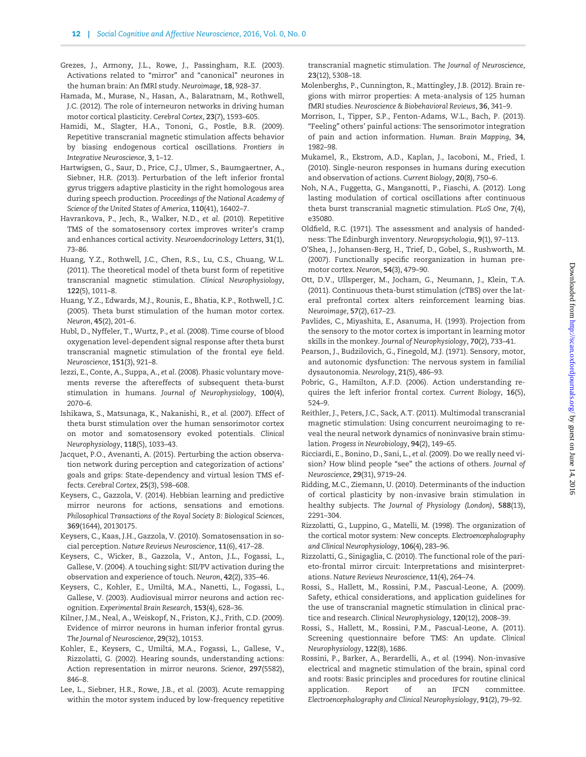- <span id="page-11-0"></span>Grezes, J., Armony, J.L., Rowe, J., Passingham, R.E. (2003). Activations related to "mirror" and "canonical" neurones in the human brain: An fMRI study. Neuroimage, 18, 928–37.
- Hamada, M., Murase, N., Hasan, A., Balaratnam, M., Rothwell, J.C. (2012). The role of interneuron networks in driving human motor cortical plasticity. Cerebral Cortex, 23(7), 1593–605.
- Hamidi, M., Slagter, H.A., Tononi, G., Postle, B.R. (2009). Repetitive transcranial magnetic stimulation affects behavior by biasing endogenous cortical oscillations. Frontiers in Integrative Neuroscience, 3, 1–12.
- Hartwigsen, G., Saur, D., Price, C.J., Ulmer, S., Baumgaertner, A., Siebner, H.R. (2013). Perturbation of the left inferior frontal gyrus triggers adaptive plasticity in the right homologous area during speech production. Proceedings of the National Academy of Science of the United States of America, 110(41), 16402–7.
- Havrankova, P., Jech, R., Walker, N.D., et al. (2010). Repetitive TMS of the somatosensory cortex improves writer's cramp and enhances cortical activity. Neuroendocrinology Letters, 31(1), 73–86.
- Huang, Y.Z., Rothwell, J.C., Chen, R.S., Lu, C.S., Chuang, W.L. (2011). The theoretical model of theta burst form of repetitive transcranial magnetic stimulation. Clinical Neurophysiology, 122(5), 1011–8.
- Huang, Y.Z., Edwards, M.J., Rounis, E., Bhatia, K.P., Rothwell, J.C. (2005). Theta burst stimulation of the human motor cortex. Neuron, 45(2), 201–6.
- Hubl, D., Nyffeler, T., Wurtz, P., et al. (2008). Time course of blood oxygenation level-dependent signal response after theta burst transcranial magnetic stimulation of the frontal eye field. Neuroscience, 151(3), 921–8.
- Iezzi, E., Conte, A., Suppa, A., et al. (2008). Phasic voluntary movements reverse the aftereffects of subsequent theta-burst stimulation in humans. Journal of Neurophysiology, 100(4), 2070–6.
- Ishikawa, S., Matsunaga, K., Nakanishi, R., et al. (2007). Effect of theta burst stimulation over the human sensorimotor cortex on motor and somatosensory evoked potentials. Clinical Neurophysiology, 118(5), 1033–43.
- Jacquet, P.O., Avenanti, A. (2015). Perturbing the action observation network during perception and categorization of actions' goals and grips: State-dependency and virtual lesion TMS effects. Cerebral Cortex, 25(3), 598–608.
- Keysers, C., Gazzola, V. (2014). Hebbian learning and predictive mirror neurons for actions, sensations and emotions. Philosophical Transactions of the Royal Society B: Biological Sciences, 369(1644), 20130175.
- Keysers, C., Kaas, J.H., Gazzola, V. (2010). Somatosensation in social perception. Nature Reviews Neuroscience, 11(6), 417–28.
- Keysers, C., Wicker, B., Gazzola, V., Anton, J.L., Fogassi, L., Gallese, V. (2004). A touching sight: SII/PV activation during the observation and experience of touch. Neuron, 42(2), 335–46.
- Keysers, C., Kohler, E., Umiltá, M.A., Nanetti, L., Fogassi, L., Gallese, V. (2003). Audiovisual mirror neurons and action recognition. Experimental Brain Research, 153(4), 628–36.
- Kilner, J.M., Neal, A., Weiskopf, N., Friston, K.J., Frith, C.D. (2009). Evidence of mirror neurons in human inferior frontal gyrus. The Journal of Neuroscience, 29(32), 10153.
- Kohler, E., Keysers, C., Umiltá, M.A., Fogassi, L., Gallese, V., Rizzolatti, G. (2002). Hearing sounds, understanding actions: Action representation in mirror neurons. Science, 297(5582), 846–8.
- Lee, L., Siebner, H.R., Rowe, J.B., et al. (2003). Acute remapping within the motor system induced by low-frequency repetitive

transcranial magnetic stimulation. The Journal of Neuroscience, 23(12), 5308–18.

- Molenberghs, P., Cunnington, R., Mattingley, J.B. (2012). Brain regions with mirror properties: A meta-analysis of 125 human fMRI studies. Neuroscience & Biobehavioral Reviews, 36, 341–9.
- Morrison, I., Tipper, S.P., Fenton-Adams, W.L., Bach, P. (2013). "Feeling" others' painful actions: The sensorimotor integration of pain and action information. Human. Brain Mapping, 34, 1982–98.
- Mukamel, R., Ekstrom, A.D., Kaplan, J., Iacoboni, M., Fried, I. (2010). Single-neuron responses in humans during execution and observation of actions. Current Biology, 20(8), 750–6.
- Noh, N.A., Fuggetta, G., Manganotti, P., Fiaschi, A. (2012). Long lasting modulation of cortical oscillations after continuous theta burst transcranial magnetic stimulation. PLoS One, 7(4), e35080.
- Oldfield, R.C. (1971). The assessment and analysis of handedness: The Edinburgh inventory. Neuropsychologia, 9(1), 97–113.
- O'Shea, J., Johansen-Berg, H., Trief, D., Gobel, S., Rushworth, M. (2007). Functionally specific reorganization in human premotor cortex. Neuron, 54(3), 479–90.
- Ott, D.V., Ullsperger, M., Jocham, G., Neumann, J., Klein, T.A. (2011). Continuous theta-burst stimulation (cTBS) over the lateral prefrontal cortex alters reinforcement learning bias. Neuroimage, 57(2), 617–23.
- Pavlides, C., Miyashita, E., Asanuma, H. (1993). Projection from the sensory to the motor cortex is important in learning motor skills in the monkey. Journal of Neurophysiology, 70(2), 733–41.
- Pearson, J., Budzilovich, G., Finegold, M.J. (1971). Sensory, motor, and autonomic dysfunction: The nervous system in familial dysautonomia. Neurology, 21(5), 486–93.
- Pobric, G., Hamilton, A.F.D. (2006). Action understanding requires the left inferior frontal cortex. Current Biology, 16(5), 524–9.
- Reithler, J., Peters, J.C., Sack, A.T. (2011). Multimodal transcranial magnetic stimulation: Using concurrent neuroimaging to reveal the neural network dynamics of noninvasive brain stimulation. Progess in Neurobiology, 94(2), 149–65.
- Ricciardi, E., Bonino, D., Sani, L., et al. (2009). Do we really need vision? How blind people "see" the actions of others. Journal of Neuroscience, 29(31), 9719–24.
- Ridding, M.C., Ziemann, U. (2010). Determinants of the induction of cortical plasticity by non-invasive brain stimulation in healthy subjects. The Journal of Physiology (London), 588(13), 2291–304.
- Rizzolatti, G., Luppino, G., Matelli, M. (1998). The organization of the cortical motor system: New concepts. Electroencephalography and Clinical Neurophysiology, 106(4), 283–96.
- Rizzolatti, G., Sinigaglia, C. (2010). The functional role of the parieto-frontal mirror circuit: Interpretations and misinterpretations. Nature Reviews Neuroscience, 11(4), 264–74.
- Rossi, S., Hallett, M., Rossini, P.M., Pascual-Leone, A. (2009). Safety, ethical considerations, and application guidelines for the use of transcranial magnetic stimulation in clinical practice and research. Clinical Neurophysiology, 120(12), 2008–39.
- Rossi, S., Hallett, M., Rossini, P.M., Pascual-Leone, A. (2011). Screening questionnaire before TMS: An update. Clinical Neurophysiology, 122(8), 1686.
- Rossini, P., Barker, A., Berardelli, A., et al. (1994). Non-invasive electrical and magnetic stimulation of the brain, spinal cord and roots: Basic principles and procedures for routine clinical application. Report of an IFCN committee. Electroencephalography and Clinical Neurophysiology, 91(2), 79–92.